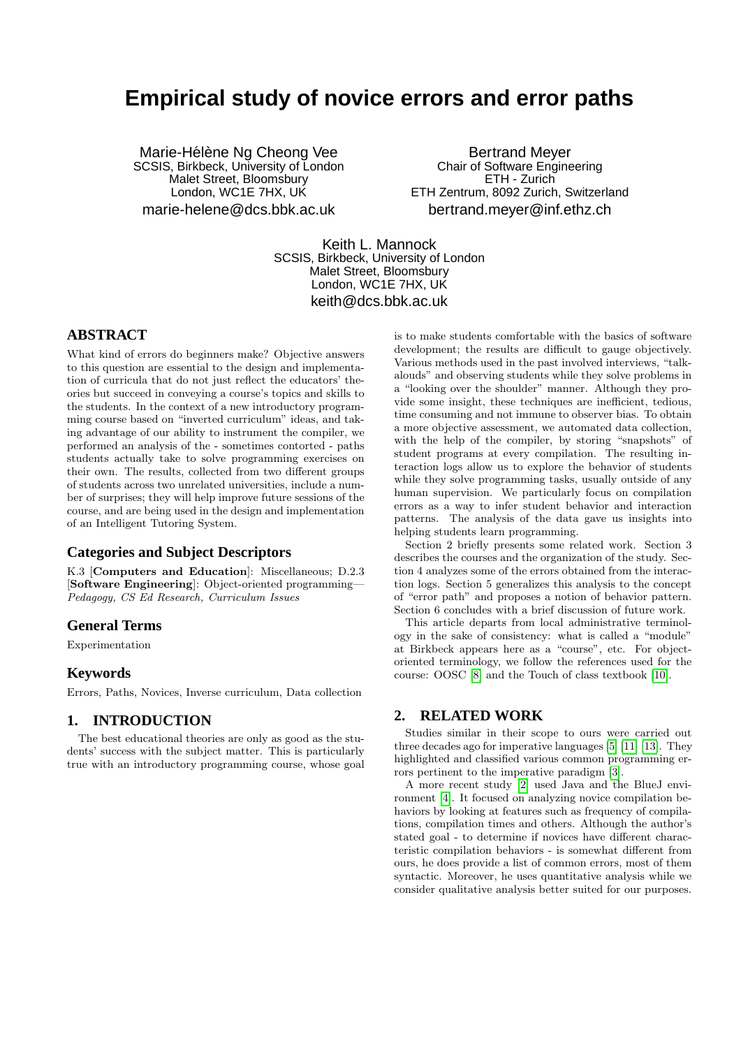# **Empirical study of novice errors and error paths**

Marie-Hélène Ng Cheong Vee SCSIS, Birkbeck, University of London Malet Street, Bloomsbury London, WC1E 7HX, UK marie-helene@dcs.bbk.ac.uk

Bertrand Meyer Chair of Software Engineering ETH - Zurich ETH Zentrum, 8092 Zurich, Switzerland bertrand.meyer@inf.ethz.ch

Keith L. Mannock SCSIS, Birkbeck, University of London Malet Street, Bloomsbury London, WC1E 7HX, UK keith@dcs.bbk.ac.uk

# **ABSTRACT**

What kind of errors do beginners make? Objective answers to this question are essential to the design and implementation of curricula that do not just reflect the educators' theories but succeed in conveying a course's topics and skills to the students. In the context of a new introductory programming course based on "inverted curriculum" ideas, and taking advantage of our ability to instrument the compiler, we performed an analysis of the - sometimes contorted - paths students actually take to solve programming exercises on their own. The results, collected from two different groups of students across two unrelated universities, include a number of surprises; they will help improve future sessions of the course, and are being used in the design and implementation of an Intelligent Tutoring System.

### **Categories and Subject Descriptors**

K.3 [Computers and Education]: Miscellaneous; D.2.3 [Software Engineering]: Object-oriented programming— Pedagogy, CS Ed Research, Curriculum Issues

# **General Terms**

Experimentation

# **Keywords**

Errors, Paths, Novices, Inverse curriculum, Data collection

# **1. INTRODUCTION**

The best educational theories are only as good as the students' success with the subject matter. This is particularly true with an introductory programming course, whose goal is to make students comfortable with the basics of software development; the results are difficult to gauge objectively. Various methods used in the past involved interviews, "talkalouds" and observing students while they solve problems in a "looking over the shoulder" manner. Although they provide some insight, these techniques are inefficient, tedious, time consuming and not immune to observer bias. To obtain a more objective assessment, we automated data collection, with the help of the compiler, by storing "snapshots" of student programs at every compilation. The resulting interaction logs allow us to explore the behavior of students while they solve programming tasks, usually outside of any human supervision. We particularly focus on compilation errors as a way to infer student behavior and interaction patterns. The analysis of the data gave us insights into helping students learn programming.

Section 2 briefly presents some related work. Section 3 describes the courses and the organization of the study. Section 4 analyzes some of the errors obtained from the interaction logs. Section 5 generalizes this analysis to the concept of "error path" and proposes a notion of behavior pattern. Section 6 concludes with a brief discussion of future work.

This article departs from local administrative terminology in the sake of consistency: what is called a "module" at Birkbeck appears here as a "course", etc. For objectoriented terminology, we follow the references used for the course: OOSC [\[8\]](#page-4-0) and the Touch of class textbook [\[10\]](#page-4-1).

# **2. RELATED WORK**

Studies similar in their scope to ours were carried out three decades ago for imperative languages [\[5\]](#page-4-2) [\[11\]](#page-4-3) [\[13\]](#page-4-4). They highlighted and classified various common programming errors pertinent to the imperative paradigm [\[3\]](#page-4-5).

A more recent study [\[2\]](#page-4-6) used Java and the BlueJ environment [\[4\]](#page-4-7). It focused on analyzing novice compilation behaviors by looking at features such as frequency of compilations, compilation times and others. Although the author's stated goal - to determine if novices have different characteristic compilation behaviors - is somewhat different from ours, he does provide a list of common errors, most of them syntactic. Moreover, he uses quantitative analysis while we consider qualitative analysis better suited for our purposes.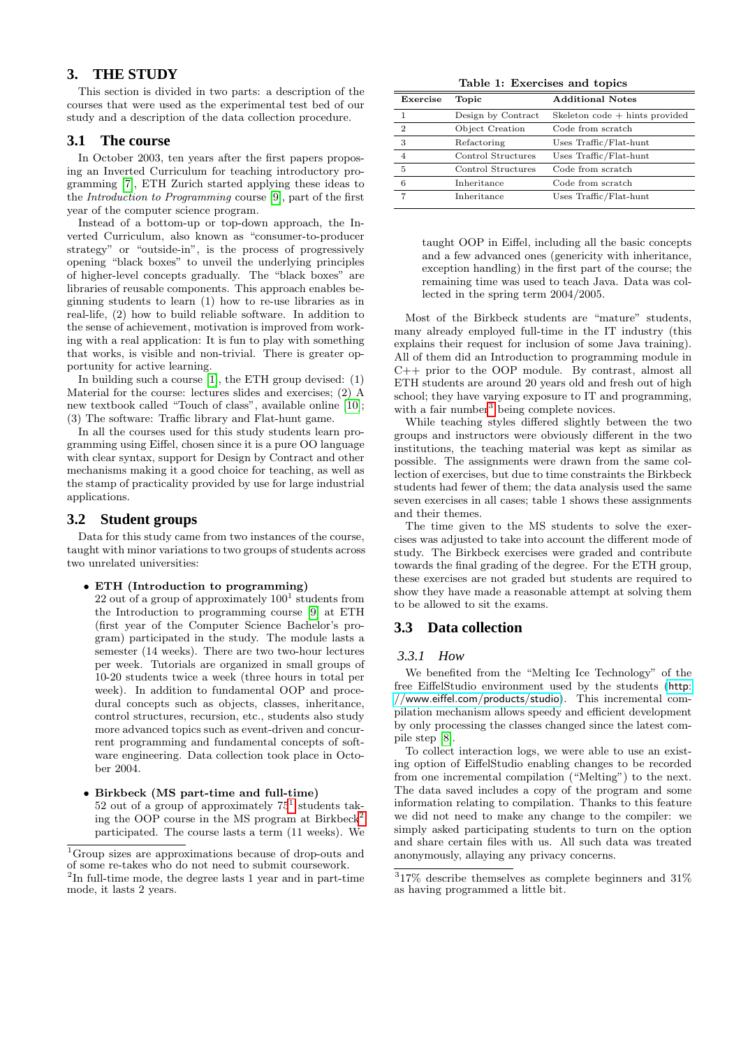# **3. THE STUDY**

This section is divided in two parts: a description of the courses that were used as the experimental test bed of our study and a description of the data collection procedure.

### **3.1 The course**

In October 2003, ten years after the first papers proposing an Inverted Curriculum for teaching introductory programming [\[7\]](#page-4-8), ETH Zurich started applying these ideas to the Introduction to Programming course [\[9\]](#page-4-9), part of the first year of the computer science program.

Instead of a bottom-up or top-down approach, the Inverted Curriculum, also known as "consumer-to-producer strategy" or "outside-in", is the process of progressively opening "black boxes" to unveil the underlying principles of higher-level concepts gradually. The "black boxes" are libraries of reusable components. This approach enables beginning students to learn (1) how to re-use libraries as in real-life, (2) how to build reliable software. In addition to the sense of achievement, motivation is improved from working with a real application: It is fun to play with something that works, is visible and non-trivial. There is greater opportunity for active learning.

In building such a course [\[1\]](#page-4-10), the ETH group devised: (1) Material for the course: lectures slides and exercises; (2) A new textbook called "Touch of class", available online [\[10\]](#page-4-1); (3) The software: Traffic library and Flat-hunt game.

In all the courses used for this study students learn programming using Eiffel, chosen since it is a pure OO language with clear syntax, support for Design by Contract and other mechanisms making it a good choice for teaching, as well as the stamp of practicality provided by use for large industrial applications.

### **3.2 Student groups**

Data for this study came from two instances of the course, taught with minor variations to two groups of students across two unrelated universities:

• ETH (Introduction to programming)

 $22$  out of a group of approximately  $100<sup>1</sup>$  students from the Introduction to programming course [\[9\]](#page-4-9) at ETH (first year of the Computer Science Bachelor's program) participated in the study. The module lasts a semester (14 weeks). There are two two-hour lectures per week. Tutorials are organized in small groups of 10-20 students twice a week (three hours in total per week). In addition to fundamental OOP and procedural concepts such as objects, classes, inheritance, control structures, recursion, etc., students also study more advanced topics such as event-driven and concurrent programming and fundamental concepts of software engineering. Data collection took place in October 2004.

• Birkbeck (MS part-time and full-time) 52 out of a group of approximately  $75<sup>1</sup>$  $75<sup>1</sup>$  $75<sup>1</sup>$  students tak-ing the OOP course in the MS program at Birkbeck<sup>[2](#page-1-1)</sup> participated. The course lasts a term (11 weeks). We

Table 1: Exercises and topics

| Exercise       | Topic              | <b>Additional Notes</b>          |
|----------------|--------------------|----------------------------------|
|                | Design by Contract | Skeleton $code + hints$ provided |
| $\overline{2}$ | Object Creation    | Code from scratch                |
| 3              | Refactoring        | Uses Traffic/Flat-hunt           |
| 4              | Control Structures | Uses Traffic/Flat-hunt           |
| 5              | Control Structures | Code from scratch                |
| 6              | Inheritance        | Code from scratch                |
|                | Inheritance        | Uses Traffic/Flat-hunt           |
|                |                    |                                  |

taught OOP in Eiffel, including all the basic concepts and a few advanced ones (genericity with inheritance, exception handling) in the first part of the course; the remaining time was used to teach Java. Data was collected in the spring term 2004/2005.

Most of the Birkbeck students are "mature" students, many already employed full-time in the IT industry (this explains their request for inclusion of some Java training). All of them did an Introduction to programming module in C++ prior to the OOP module. By contrast, almost all ETH students are around 20 years old and fresh out of high school; they have varying exposure to IT and programming, with a fair number<sup>[3](#page-1-2)</sup> being complete novices.

While teaching styles differed slightly between the two groups and instructors were obviously different in the two institutions, the teaching material was kept as similar as possible. The assignments were drawn from the same collection of exercises, but due to time constraints the Birkbeck students had fewer of them; the data analysis used the same seven exercises in all cases; table 1 shows these assignments and their themes.

The time given to the MS students to solve the exercises was adjusted to take into account the different mode of study. The Birkbeck exercises were graded and contribute towards the final grading of the degree. For the ETH group, these exercises are not graded but students are required to show they have made a reasonable attempt at solving them to be allowed to sit the exams.

### **3.3 Data collection**

#### *3.3.1 How*

We benefited from the "Melting Ice Technology" of the free EiffelStudio environment used by the students ([http:](http://www.eiffel.com/products/studio) [//www.eiffel.com/products/studio](http://www.eiffel.com/products/studio)). This incremental compilation mechanism allows speedy and efficient development by only processing the classes changed since the latest compile step [\[8\]](#page-4-0).

To collect interaction logs, we were able to use an existing option of EiffelStudio enabling changes to be recorded from one incremental compilation ("Melting") to the next. The data saved includes a copy of the program and some information relating to compilation. Thanks to this feature we did not need to make any change to the compiler: we simply asked participating students to turn on the option and share certain files with us. All such data was treated anonymously, allaying any privacy concerns.

<span id="page-1-0"></span><sup>1</sup>Group sizes are approximations because of drop-outs and of some re-takes who do not need to submit coursework.

<span id="page-1-1"></span><sup>&</sup>lt;sup>2</sup>In full-time mode, the degree lasts 1 year and in part-time mode, it lasts 2 years.

<span id="page-1-2"></span> $317\%$  describe themselves as complete beginners and  $31\%$ as having programmed a little bit.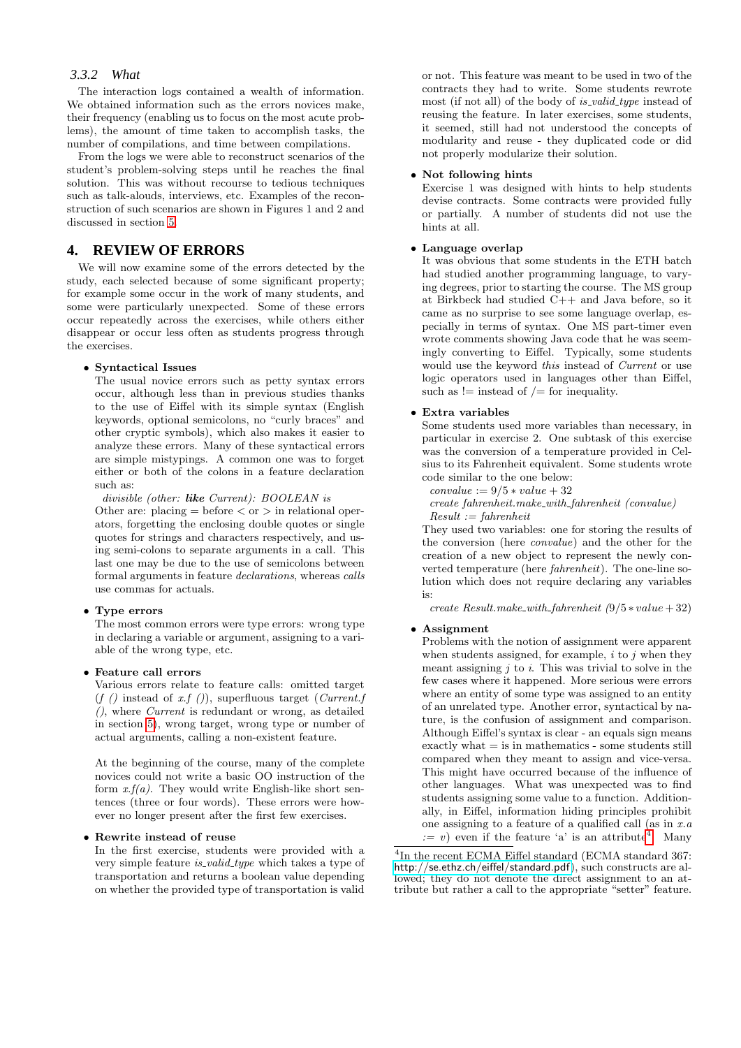# *3.3.2 What*

The interaction logs contained a wealth of information. We obtained information such as the errors novices make, their frequency (enabling us to focus on the most acute problems), the amount of time taken to accomplish tasks, the number of compilations, and time between compilations.

From the logs we were able to reconstruct scenarios of the student's problem-solving steps until he reaches the final solution. This was without recourse to tedious techniques such as talk-alouds, interviews, etc. Examples of the reconstruction of such scenarios are shown in Figures 1 and 2 and discussed in section [5.](#page-3-0)

# **4. REVIEW OF ERRORS**

We will now examine some of the errors detected by the study, each selected because of some significant property; for example some occur in the work of many students, and some were particularly unexpected. Some of these errors occur repeatedly across the exercises, while others either disappear or occur less often as students progress through the exercises.

#### • Syntactical Issues

The usual novice errors such as petty syntax errors occur, although less than in previous studies thanks to the use of Eiffel with its simple syntax (English keywords, optional semicolons, no "curly braces" and other cryptic symbols), which also makes it easier to analyze these errors. Many of these syntactical errors are simple mistypings. A common one was to forget either or both of the colons in a feature declaration such as:

divisible (other: **like** Current): BOOLEAN is Other are: placing  $=$  before  $<$  or  $>$  in relational operators, forgetting the enclosing double quotes or single quotes for strings and characters respectively, and using semi-colons to separate arguments in a call. This last one may be due to the use of semicolons between formal arguments in feature declarations, whereas calls use commas for actuals.

### • Type errors

The most common errors were type errors: wrong type in declaring a variable or argument, assigning to a variable of the wrong type, etc.

#### • Feature call errors

Various errors relate to feature calls: omitted target  $(f (f))$  instead of x.f ()), superfluous target (Current.f (), where Current is redundant or wrong, as detailed in section [5\)](#page-3-0), wrong target, wrong type or number of actual arguments, calling a non-existent feature.

At the beginning of the course, many of the complete novices could not write a basic OO instruction of the form  $x.f(a)$ . They would write English-like short sentences (three or four words). These errors were however no longer present after the first few exercises.

#### • Rewrite instead of reuse

In the first exercise, students were provided with a very simple feature *is\_valid\_type* which takes a type of transportation and returns a boolean value depending on whether the provided type of transportation is valid

or not. This feature was meant to be used in two of the contracts they had to write. Some students rewrote most (if not all) of the body of *is\_valid\_type* instead of reusing the feature. In later exercises, some students, it seemed, still had not understood the concepts of modularity and reuse - they duplicated code or did not properly modularize their solution.

#### • Not following hints

Exercise 1 was designed with hints to help students devise contracts. Some contracts were provided fully or partially. A number of students did not use the hints at all.

### • Language overlap

It was obvious that some students in the ETH batch had studied another programming language, to varying degrees, prior to starting the course. The MS group at Birkbeck had studied C++ and Java before, so it came as no surprise to see some language overlap, especially in terms of syntax. One MS part-timer even wrote comments showing Java code that he was seemingly converting to Eiffel. Typically, some students would use the keyword this instead of Current or use logic operators used in languages other than Eiffel, such as  $!=$  instead of  $/=$  for inequality.

#### • Extra variables

Some students used more variables than necessary, in particular in exercise 2. One subtask of this exercise was the conversion of a temperature provided in Celsius to its Fahrenheit equivalent. Some students wrote code similar to the one below:

- $convalue := 9/5 * value + 32$
- create fahrenheit.make with fahrenheit (convalue)  $Result := fahrenheit$

They used two variables: one for storing the results of the conversion (here convalue) and the other for the creation of a new object to represent the newly converted temperature (here fahrenheit). The one-line solution which does not require declaring any variables is:

create  $Result.make\_with\_fatherheit(9/5 * value + 32)$ 

#### • Assignment

Problems with the notion of assignment were apparent when students assigned, for example,  $i$  to  $j$  when they meant assigning  $j$  to  $i$ . This was trivial to solve in the few cases where it happened. More serious were errors where an entity of some type was assigned to an entity of an unrelated type. Another error, syntactical by nature, is the confusion of assignment and comparison. Although Eiffel's syntax is clear - an equals sign means exactly what  $=$  is in mathematics  $-$  some students still compared when they meant to assign and vice-versa. This might have occurred because of the influence of other languages. What was unexpected was to find students assigning some value to a function. Additionally, in Eiffel, information hiding principles prohibit one assigning to a feature of a qualified call (as in  $x.a$  $:= v$  even if the feature 'a' is an attribute<sup>[4](#page-2-0)</sup>. Many

<span id="page-2-0"></span>4 In the recent ECMA Eiffel standard (ECMA standard 367: <http://se.ethz.ch/eiffel/standard.pdf>), such constructs are allowed; they do not denote the direct assignment to an attribute but rather a call to the appropriate "setter" feature.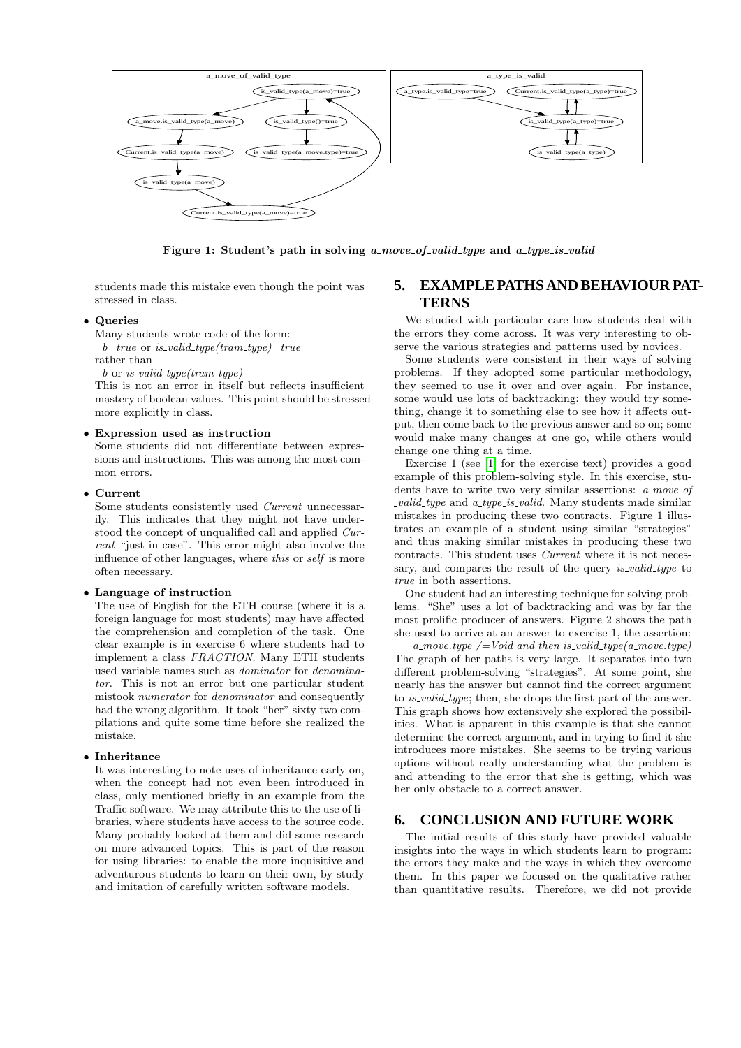

Figure 1: Student's path in solving a move of valid type and a type is valid

students made this mistake even though the point was stressed in class.

# • Queries

Many students wrote code of the form:

 $b = true$  or is\_valid\_type(tram\_type)=true

rather than

 $b$  or is\_valid\_type(tram\_type)

This is not an error in itself but reflects insufficient mastery of boolean values. This point should be stressed more explicitly in class.

# • Expression used as instruction

Some students did not differentiate between expressions and instructions. This was among the most common errors.

#### • Current

Some students consistently used Current unnecessarily. This indicates that they might not have understood the concept of unqualified call and applied Current "just in case". This error might also involve the influence of other languages, where this or self is more often necessary.

### • Language of instruction

The use of English for the ETH course (where it is a foreign language for most students) may have affected the comprehension and completion of the task. One clear example is in exercise 6 where students had to implement a class FRACTION. Many ETH students used variable names such as dominator for denominator. This is not an error but one particular student mistook numerator for denominator and consequently had the wrong algorithm. It took "her" sixty two compilations and quite some time before she realized the mistake.

#### • Inheritance

It was interesting to note uses of inheritance early on, when the concept had not even been introduced in class, only mentioned briefly in an example from the Traffic software. We may attribute this to the use of libraries, where students have access to the source code. Many probably looked at them and did some research on more advanced topics. This is part of the reason for using libraries: to enable the more inquisitive and adventurous students to learn on their own, by study and imitation of carefully written software models.

# <span id="page-3-0"></span>**5. EXAMPLE PATHS AND BEHAVIOUR PAT-TERNS**

We studied with particular care how students deal with the errors they come across. It was very interesting to observe the various strategies and patterns used by novices.

Some students were consistent in their ways of solving problems. If they adopted some particular methodology, they seemed to use it over and over again. For instance, some would use lots of backtracking: they would try something, change it to something else to see how it affects output, then come back to the previous answer and so on; some would make many changes at one go, while others would change one thing at a time.

Exercise 1 (see [\[1\]](#page-4-10) for the exercise text) provides a good example of this problem-solving style. In this exercise, students have to write two very similar assertions:  $a_{.}move_{.}of$  $\omega$ *valid\_type* and  $\alpha$ \_type\_is\_valid. Many students made similar mistakes in producing these two contracts. Figure 1 illustrates an example of a student using similar "strategies" and thus making similar mistakes in producing these two contracts. This student uses Current where it is not necessary, and compares the result of the query *is valid type* to true in both assertions.

One student had an interesting technique for solving problems. "She" uses a lot of backtracking and was by far the most prolific producer of answers. Figure 2 shows the path she used to arrive at an answer to exercise 1, the assertion:

a move.type  $\ell = Void$  and then is valid type (a move.type) The graph of her paths is very large. It separates into two different problem-solving "strategies". At some point, she nearly has the answer but cannot find the correct argument to *is\_valid\_type*; then, she drops the first part of the answer. This graph shows how extensively she explored the possibilities. What is apparent in this example is that she cannot determine the correct argument, and in trying to find it she introduces more mistakes. She seems to be trying various options without really understanding what the problem is and attending to the error that she is getting, which was her only obstacle to a correct answer.

# **6. CONCLUSION AND FUTURE WORK**

The initial results of this study have provided valuable insights into the ways in which students learn to program: the errors they make and the ways in which they overcome them. In this paper we focused on the qualitative rather than quantitative results. Therefore, we did not provide